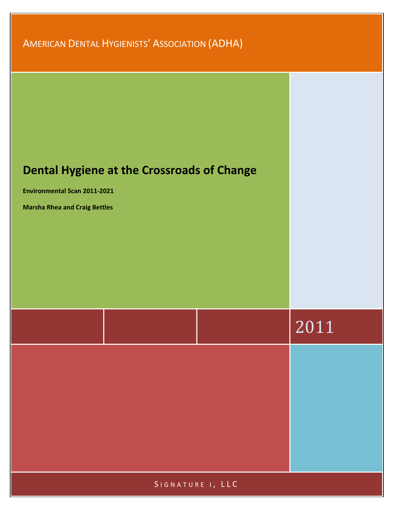AMERICAN DENTAL HYGIENISTS' ASSOCIATION (ADHA)



SIGNATURE 1, LLC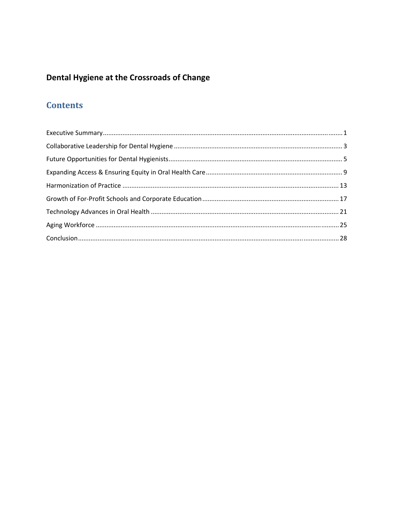# **Dental Hygiene at the Crossroads of Change**

# **Contents**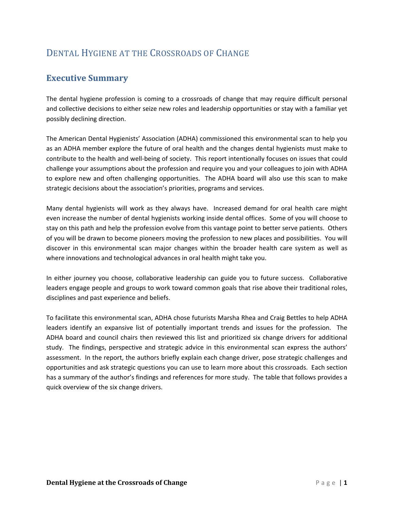## DENTAL HYGIENE AT THE CROSSROADS OF CHANGE

## **Executive Summary**

The dental hygiene profession is coming to a crossroads of change that may require difficult personal and collective decisions to either seize new roles and leadership opportunities or stay with a familiar yet possibly declining direction.

The American Dental Hygienists' Association (ADHA) commissioned this environmental scan to help you as an ADHA member explore the future of oral health and the changes dental hygienists must make to contribute to the health and well‐being of society. This report intentionally focuses on issues that could challenge your assumptions about the profession and require you and your colleagues to join with ADHA to explore new and often challenging opportunities. The ADHA board will also use this scan to make strategic decisions about the association's priorities, programs and services.

Many dental hygienists will work as they always have. Increased demand for oral health care might even increase the number of dental hygienists working inside dental offices. Some of you will choose to stay on this path and help the profession evolve from this vantage point to better serve patients. Others of you will be drawn to become pioneers moving the profession to new places and possibilities. You will discover in this environmental scan major changes within the broader health care system as well as where innovations and technological advances in oral health might take you.

In either journey you choose, collaborative leadership can guide you to future success. Collaborative leaders engage people and groups to work toward common goals that rise above their traditional roles, disciplines and past experience and beliefs.

To facilitate this environmental scan, ADHA chose futurists Marsha Rhea and Craig Bettles to help ADHA leaders identify an expansive list of potentially important trends and issues for the profession. The ADHA board and council chairs then reviewed this list and prioritized six change drivers for additional study. The findings, perspective and strategic advice in this environmental scan express the authors' assessment. In the report, the authors briefly explain each change driver, pose strategic challenges and opportunities and ask strategic questions you can use to learn more about this crossroads. Each section has a summary of the author's findings and references for more study. The table that follows provides a quick overview of the six change drivers.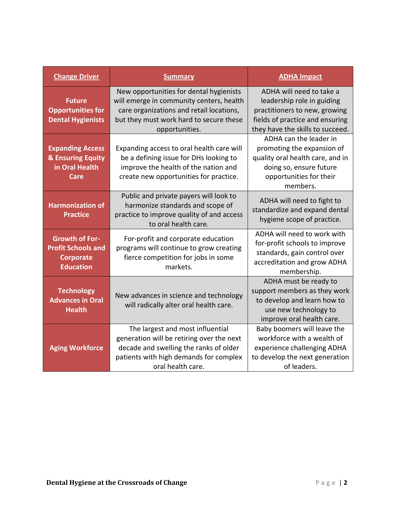| <b>Change Driver</b>                                                                       | <b>Summary</b>                                                                                                                                                                               | <b>ADHA Impact</b>                                                                                                                                             |
|--------------------------------------------------------------------------------------------|----------------------------------------------------------------------------------------------------------------------------------------------------------------------------------------------|----------------------------------------------------------------------------------------------------------------------------------------------------------------|
| <b>Future</b><br><b>Opportunities for</b><br><b>Dental Hygienists</b>                      | New opportunities for dental hygienists<br>will emerge in community centers, health<br>care organizations and retail locations,<br>but they must work hard to secure these<br>opportunities. | ADHA will need to take a<br>leadership role in guiding<br>practitioners to new, growing<br>fields of practice and ensuring<br>they have the skills to succeed. |
| <b>Expanding Access</b><br>& Ensuring Equity<br>in Oral Health<br>Care                     | Expanding access to oral health care will<br>be a defining issue for DHs looking to<br>improve the health of the nation and<br>create new opportunities for practice.                        | ADHA can the leader in<br>promoting the expansion of<br>quality oral health care, and in<br>doing so, ensure future<br>opportunities for their<br>members.     |
| <b>Harmonization of</b><br><b>Practice</b>                                                 | Public and private payers will look to<br>harmonize standards and scope of<br>practice to improve quality of and access<br>to oral health care.                                              | ADHA will need to fight to<br>standardize and expand dental<br>hygiene scope of practice.                                                                      |
| <b>Growth of For-</b><br><b>Profit Schools and</b><br><b>Corporate</b><br><b>Education</b> | For-profit and corporate education<br>programs will continue to grow creating<br>fierce competition for jobs in some<br>markets.                                                             | ADHA will need to work with<br>for-profit schools to improve<br>standards, gain control over<br>accreditation and grow ADHA<br>membership.                     |
| <b>Technology</b><br><b>Advances in Oral</b><br><b>Health</b>                              | New advances in science and technology<br>will radically alter oral health care.                                                                                                             | ADHA must be ready to<br>support members as they work<br>to develop and learn how to<br>use new technology to<br>improve oral health care.                     |
| <b>Aging Workforce</b>                                                                     | The largest and most influential<br>generation will be retiring over the next<br>decade and swelling the ranks of older<br>patients with high demands for complex<br>oral health care.       | Baby boomers will leave the<br>workforce with a wealth of<br>experience challenging ADHA<br>to develop the next generation<br>of leaders.                      |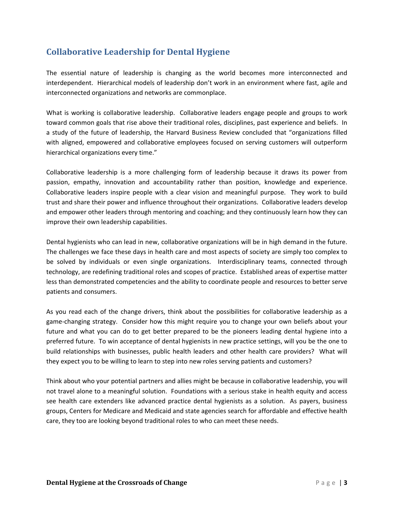## **Collaborative Leadership for Dental Hygiene**

The essential nature of leadership is changing as the world becomes more interconnected and interdependent. Hierarchical models of leadership don't work in an environment where fast, agile and interconnected organizations and networks are commonplace.

What is working is collaborative leadership. Collaborative leaders engage people and groups to work toward common goals that rise above their traditional roles, disciplines, past experience and beliefs. In a study of the future of leadership, the Harvard Business Review concluded that "organizations filled with aligned, empowered and collaborative employees focused on serving customers will outperform hierarchical organizations every time."

Collaborative leadership is a more challenging form of leadership because it draws its power from passion, empathy, innovation and accountability rather than position, knowledge and experience. Collaborative leaders inspire people with a clear vision and meaningful purpose. They work to build trust and share their power and influence throughout their organizations. Collaborative leaders develop and empower other leaders through mentoring and coaching; and they continuously learn how they can improve their own leadership capabilities.

Dental hygienists who can lead in new, collaborative organizations will be in high demand in the future. The challenges we face these days in health care and most aspects of society are simply too complex to be solved by individuals or even single organizations. Interdisciplinary teams, connected through technology, are redefining traditional roles and scopes of practice. Established areas of expertise matter less than demonstrated competencies and the ability to coordinate people and resources to better serve patients and consumers.

As you read each of the change drivers, think about the possibilities for collaborative leadership as a game‐changing strategy. Consider how this might require you to change your own beliefs about your future and what you can do to get better prepared to be the pioneers leading dental hygiene into a preferred future. To win acceptance of dental hygienists in new practice settings, will you be the one to build relationships with businesses, public health leaders and other health care providers? What will they expect you to be willing to learn to step into new roles serving patients and customers?

Think about who your potential partners and allies might be because in collaborative leadership, you will not travel alone to a meaningful solution. Foundations with a serious stake in health equity and access see health care extenders like advanced practice dental hygienists as a solution. As payers, business groups, Centers for Medicare and Medicaid and state agencies search for affordable and effective health care, they too are looking beyond traditional roles to who can meet these needs.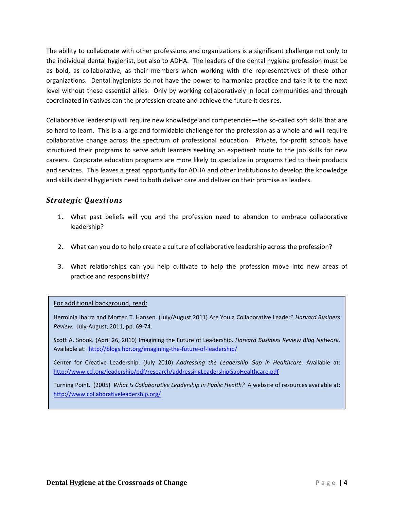The ability to collaborate with other professions and organizations is a significant challenge not only to the individual dental hygienist, but also to ADHA. The leaders of the dental hygiene profession must be as bold, as collaborative, as their members when working with the representatives of these other organizations. Dental hygienists do not have the power to harmonize practice and take it to the next level without these essential allies. Only by working collaboratively in local communities and through coordinated initiatives can the profession create and achieve the future it desires.

Collaborative leadership will require new knowledge and competencies—the so‐called soft skills that are so hard to learn. This is a large and formidable challenge for the profession as a whole and will require collaborative change across the spectrum of professional education. Private, for-profit schools have structured their programs to serve adult learners seeking an expedient route to the job skills for new careers. Corporate education programs are more likely to specialize in programs tied to their products and services. This leaves a great opportunity for ADHA and other institutions to develop the knowledge and skills dental hygienists need to both deliver care and deliver on their promise as leaders.

## *Strategic Questions*

- 1. What past beliefs will you and the profession need to abandon to embrace collaborative leadership?
- 2. What can you do to help create a culture of collaborative leadership across the profession?
- 3. What relationships can you help cultivate to help the profession move into new areas of practice and responsibility?

### For additional background, read:

Herminia Ibarra and Morten T. Hansen. (July/August 2011) Are You a Collaborative Leader? *Harvard Business Review.* July‐August, 2011, pp. 69‐74.

Scott A. Snook. (April 26, 2010) Imagining the Future of Leadership. *Harvard Business Review Blog Network.* Available at: http://blogs.hbr.org/imagining-the-future-of-leadership/

Center for Creative Leadership. (July 2010) *Addressing the Leadership Gap in Healthcare.* Available at: http://www.ccl.org/leadership/pdf/research/addressingLeadershipGapHealthcare.pdf

Turning Point. (2005) *What Is Collaborative Leadership in Public Health?* A website of resources available at: http://www.collaborativeleadership.org/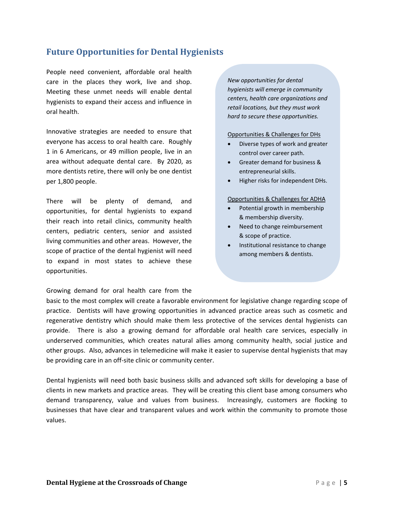## **Future Opportunities for Dental Hygienists**

People need convenient, affordable oral health care in the places they work, live and shop. Meeting these unmet needs will enable dental hygienists to expand their access and influence in oral health.

Innovative strategies are needed to ensure that everyone has access to oral health care. Roughly 1 in 6 Americans, or 49 million people, live in an area without adequate dental care. By 2020, as more dentists retire, there will only be one dentist per 1,800 people.

There will be plenty of demand, and opportunities, for dental hygienists to expand their reach into retail clinics, community health centers, pediatric centers, senior and assisted living communities and other areas. However, the scope of practice of the dental hygienist will need to expand in most states to achieve these opportunities.

Growing demand for oral health care from the

### *New opportunities for dental hygienists will emerge in community centers, health care organizations and retail locations, but they must work hard to secure these opportunities.*

Opportunities & Challenges for DHs

- Diverse types of work and greater control over career path.
- Greater demand for business & entrepreneurial skills.
- Higher risks for independent DHs.

#### Opportunities & Challenges for ADHA

- Potential growth in membership & membership diversity.
- Need to change reimbursement & scope of practice.
- Institutional resistance to change among members & dentists.

basic to the most complex will create a favorable environment for legislative change regarding scope of practice. Dentists will have growing opportunities in advanced practice areas such as cosmetic and regenerative dentistry which should make them less protective of the services dental hygienists can provide. There is also a growing demand for affordable oral health care services, especially in underserved communities, which creates natural allies among community health, social justice and other groups. Also, advances in telemedicine will make it easier to supervise dental hygienists that may be providing care in an off-site clinic or community center.

Dental hygienists will need both basic business skills and advanced soft skills for developing a base of clients in new markets and practice areas. They will be creating this client base among consumers who demand transparency, value and values from business. Increasingly, customers are flocking to businesses that have clear and transparent values and work within the community to promote those values.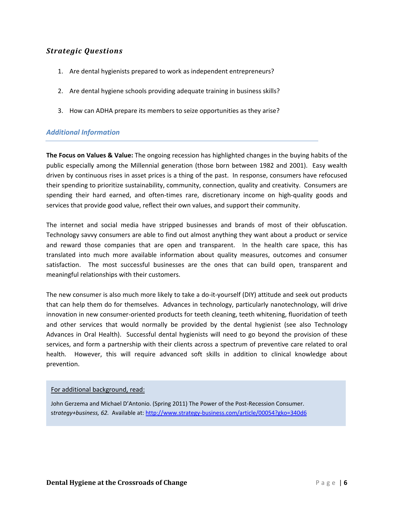- 1. Are dental hygienists prepared to work as independent entrepreneurs?
- 2. Are dental hygiene schools providing adequate training in business skills?
- 3. How can ADHA prepare its members to seize opportunities as they arise?

### *Additional Information*

**The Focus on Values & Value:** The ongoing recession has highlighted changes in the buying habits of the public especially among the Millennial generation (those born between 1982 and 2001). Easy wealth driven by continuous rises in asset prices is a thing of the past. In response, consumers have refocused their spending to prioritize sustainability, community, connection, quality and creativity. Consumers are spending their hard earned, and often-times rare, discretionary income on high-quality goods and services that provide good value, reflect their own values, and support their community.

The internet and social media have stripped businesses and brands of most of their obfuscation. Technology savvy consumers are able to find out almost anything they want about a product or service and reward those companies that are open and transparent. In the health care space, this has translated into much more available information about quality measures, outcomes and consumer satisfaction. The most successful businesses are the ones that can build open, transparent and meaningful relationships with their customers.

The new consumer is also much more likely to take a do-it-yourself (DIY) attitude and seek out products that can help them do for themselves. Advances in technology, particularly nanotechnology, will drive innovation in new consumer‐oriented products for teeth cleaning, teeth whitening, fluoridation of teeth and other services that would normally be provided by the dental hygienist (see also Technology Advances in Oral Health). Successful dental hygienists will need to go beyond the provision of these services, and form a partnership with their clients across a spectrum of preventive care related to oral health. However, this will require advanced soft skills in addition to clinical knowledge about prevention.

### For additional background, read:

John Gerzema and Michael D'Antonio. (Spring 2011) The Power of the Post-Recession Consumer. strategy+business, 62. Available at: http://www.strategy-business.com/article/00054?gko=340d6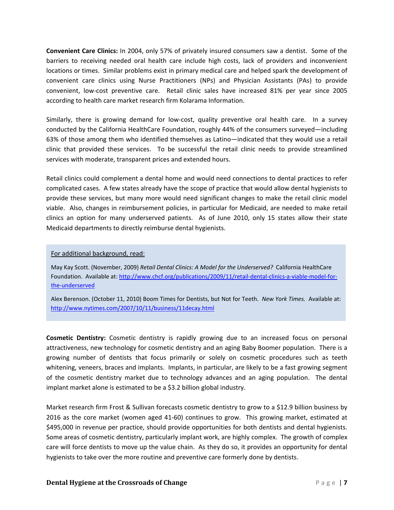**Convenient Care Clinics:** In 2004, only 57% of privately insured consumers saw a dentist. Some of the barriers to receiving needed oral health care include high costs, lack of providers and inconvenient locations or times. Similar problems exist in primary medical care and helped spark the development of convenient care clinics using Nurse Practitioners (NPs) and Physician Assistants (PAs) to provide convenient, low‐cost preventive care. Retail clinic sales have increased 81% per year since 2005 according to health care market research firm Kolarama Information.

Similarly, there is growing demand for low-cost, quality preventive oral health care. In a survey conducted by the California HealthCare Foundation, roughly 44% of the consumers surveyed—including 63% of those among them who identified themselves as Latino—indicated that they would use a retail clinic that provided these services. To be successful the retail clinic needs to provide streamlined services with moderate, transparent prices and extended hours.

Retail clinics could complement a dental home and would need connections to dental practices to refer complicated cases. A few states already have the scope of practice that would allow dental hygienists to provide these services, but many more would need significant changes to make the retail clinic model viable. Also, changes in reimbursement policies, in particular for Medicaid, are needed to make retail clinics an option for many underserved patients. As of June 2010, only 15 states allow their state Medicaid departments to directly reimburse dental hygienists.

### For additional background, read:

May Kay Scott. (November, 2009) *Retail Dental Clinics: A Model for the Underserved?* California HealthCare Foundation. Available at: http://www.chcf.org/publications/2009/11/retail-dental-clinics-a-viable-model-forthe‐underserved

Alex Berenson. (October 11, 2010) Boom Times for Dentists, but Not for Teeth. *New York Times.* Available at: http://www.nytimes.com/2007/10/11/business/11decay.html

**Cosmetic Dentistry:** Cosmetic dentistry is rapidly growing due to an increased focus on personal attractiveness, new technology for cosmetic dentistry and an aging Baby Boomer population. There is a growing number of dentists that focus primarily or solely on cosmetic procedures such as teeth whitening, veneers, braces and implants. Implants, in particular, are likely to be a fast growing segment of the cosmetic dentistry market due to technology advances and an aging population. The dental implant market alone is estimated to be a \$3.2 billion global industry.

Market research firm Frost & Sullivan forecasts cosmetic dentistry to grow to a \$12.9 billion business by 2016 as the core market (women aged 41‐60) continues to grow. This growing market, estimated at \$495,000 in revenue per practice, should provide opportunities for both dentists and dental hygienists. Some areas of cosmetic dentistry, particularly implant work, are highly complex. The growth of complex care will force dentists to move up the value chain. As they do so, it provides an opportunity for dental hygienists to take over the more routine and preventive care formerly done by dentists.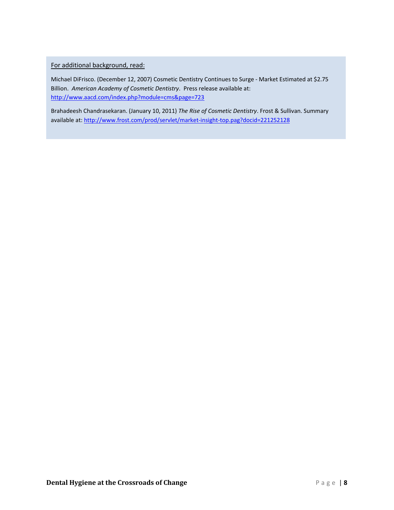For additional background, read:

Michael DiFrisco. (December 12, 2007) Cosmetic Dentistry Continues to Surge ‐ Market Estimated at \$2.75 Billion. *American Academy of Cosmetic Dentistry*. Press release available at: http://www.aacd.com/index.php?module=cms&page=723

Brahadeesh Chandrasekaran. (January 10, 2011) *The Rise of Cosmetic Dentistry*. Frost & Sullivan. Summary available at: http://www.frost.com/prod/servlet/market-insight-top.pag?docid=221252128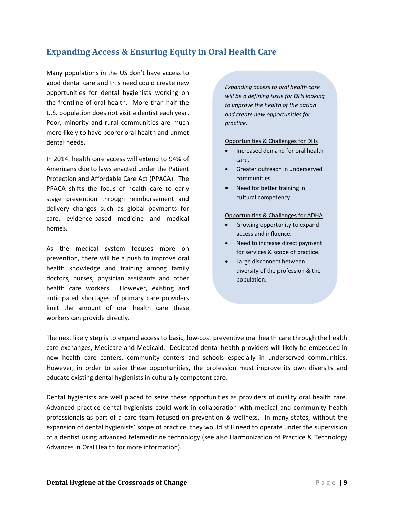## **Expanding Access & Ensuring Equity in Oral Health Care**

Many populations in the US don't have access to good dental care and this need could create new opportunities for dental hygienists working on the frontline of oral health. More than half the U.S. population does not visit a dentist each year. Poor, minority and rural communities are much more likely to have poorer oral health and unmet dental needs.

In 2014, health care access will extend to 94% of Americans due to laws enacted under the Patient Protection and Affordable Care Act (PPACA). The PPACA shifts the focus of health care to early stage prevention through reimbursement and delivery changes such as global payments for care, evidence‐based medicine and medical homes.

As the medical system focuses more on prevention, there will be a push to improve oral health knowledge and training among family doctors, nurses, physician assistants and other health care workers. However, existing and anticipated shortages of primary care providers limit the amount of oral health care these workers can provide directly.

*Expanding access to oral health care will be a defining issue for DHs looking to improve the health of the nation and create new opportunities for practice.*

#### Opportunities & Challenges for DHs

- Increased demand for oral health care.
- Greater outreach in underserved communities.
- Need for better training in cultural competency.

#### Opportunities & Challenges for ADHA

- Growing opportunity to expand access and influence.
- Need to increase direct payment for services & scope of practice.
- Large disconnect between diversity of the profession & the population.

The next likely step is to expand access to basic, low‐cost preventive oral health care through the health care exchanges, Medicare and Medicaid. Dedicated dental health providers will likely be embedded in new health care centers, community centers and schools especially in underserved communities. However, in order to seize these opportunities, the profession must improve its own diversity and educate existing dental hygienists in culturally competent care.

Dental hygienists are well placed to seize these opportunities as providers of quality oral health care. Advanced practice dental hygienists could work in collaboration with medical and community health professionals as part of a care team focused on prevention & wellness. In many states, without the expansion of dental hygienists' scope of practice, they would still need to operate under the supervision of a dentist using advanced telemedicine technology (see also Harmonization of Practice & Technology Advances in Oral Health for more information).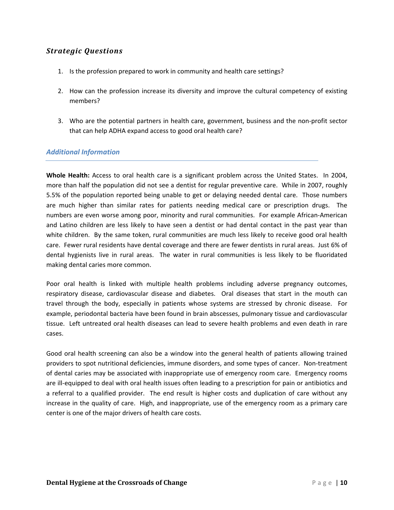- 1. Is the profession prepared to work in community and health care settings?
- 2. How can the profession increase its diversity and improve the cultural competency of existing members?
- 3. Who are the potential partners in health care, government, business and the non‐profit sector that can help ADHA expand access to good oral health care?

### *Additional Information*

**Whole Health:** Access to oral health care is a significant problem across the United States. In 2004, more than half the population did not see a dentist for regular preventive care. While in 2007, roughly 5.5% of the population reported being unable to get or delaying needed dental care. Those numbers are much higher than similar rates for patients needing medical care or prescription drugs. The numbers are even worse among poor, minority and rural communities. For example African‐American and Latino children are less likely to have seen a dentist or had dental contact in the past year than white children. By the same token, rural communities are much less likely to receive good oral health care. Fewer rural residents have dental coverage and there are fewer dentists in rural areas. Just 6% of dental hygienists live in rural areas. The water in rural communities is less likely to be fluoridated making dental caries more common.

Poor oral health is linked with multiple health problems including adverse pregnancy outcomes, respiratory disease, cardiovascular disease and diabetes. Oral diseases that start in the mouth can travel through the body, especially in patients whose systems are stressed by chronic disease. For example, periodontal bacteria have been found in brain abscesses, pulmonary tissue and cardiovascular tissue. Left untreated oral health diseases can lead to severe health problems and even death in rare cases.

Good oral health screening can also be a window into the general health of patients allowing trained providers to spot nutritional deficiencies, immune disorders, and some types of cancer. Non‐treatment of dental caries may be associated with inappropriate use of emergency room care. Emergency rooms are ill‐equipped to deal with oral health issues often leading to a prescription for pain or antibiotics and a referral to a qualified provider. The end result is higher costs and duplication of care without any increase in the quality of care. High, and inappropriate, use of the emergency room as a primary care center is one of the major drivers of health care costs.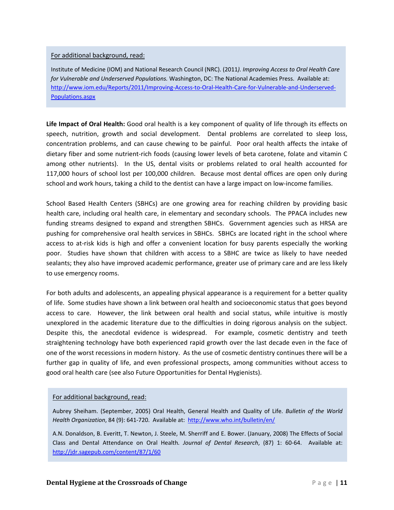### For additional background, read:

Institute of Medicine (IOM) and National Research Council (NRC). (2011*). Improving Access to Oral Health Care for Vulnerable and Underserved Populations.* Washington, DC: The National Academies Press. Available at: http://www.iom.edu/Reports/2011/Improving-Access-to-Oral-Health-Care-for-Vulnerable-and-Underserved-Populations.aspx

**Life Impact of Oral Health:** Good oral health is a key component of quality of life through its effects on speech, nutrition, growth and social development. Dental problems are correlated to sleep loss, concentration problems, and can cause chewing to be painful. Poor oral health affects the intake of dietary fiber and some nutrient‐rich foods (causing lower levels of beta carotene, folate and vitamin C among other nutrients). In the US, dental visits or problems related to oral health accounted for 117,000 hours of school lost per 100,000 children. Because most dental offices are open only during school and work hours, taking a child to the dentist can have a large impact on low-income families.

School Based Health Centers (SBHCs) are one growing area for reaching children by providing basic health care, including oral health care, in elementary and secondary schools. The PPACA includes new funding streams designed to expand and strengthen SBHCs. Government agencies such as HRSA are pushing for comprehensive oral health services in SBHCs. SBHCs are located right in the school where access to at-risk kids is high and offer a convenient location for busy parents especially the working poor. Studies have shown that children with access to a SBHC are twice as likely to have needed sealants; they also have improved academic performance, greater use of primary care and are less likely to use emergency rooms.

For both adults and adolescents, an appealing physical appearance is a requirement for a better quality of life. Some studies have shown a link between oral health and socioeconomic status that goes beyond access to care. However, the link between oral health and social status, while intuitive is mostly unexplored in the academic literature due to the difficulties in doing rigorous analysis on the subject. Despite this, the anecdotal evidence is widespread. For example, cosmetic dentistry and teeth straightening technology have both experienced rapid growth over the last decade even in the face of one of the worst recessions in modern history. As the use of cosmetic dentistry continues there will be a further gap in quality of life, and even professional prospects, among communities without access to good oral health care (see also Future Opportunities for Dental Hygienists).

### For additional background, read:

Aubrey Sheiham. (September, 2005) Oral Health, General Health and Quality of Life. *Bulletin of the World Health Organization*, 84 (9): 641‐720. Available at: http://www.who.int/bulletin/en/

A.N. Donaldson, B. Everitt, T. Newton, J. Steele, M. Sherriff and E. Bower. (January, 2008) The Effects of Social Class and Dental Attendance on Oral Health*. Journal of Dental Research*, (87) 1: 60‐64. Available at: http://jdr.sagepub.com/content/87/1/60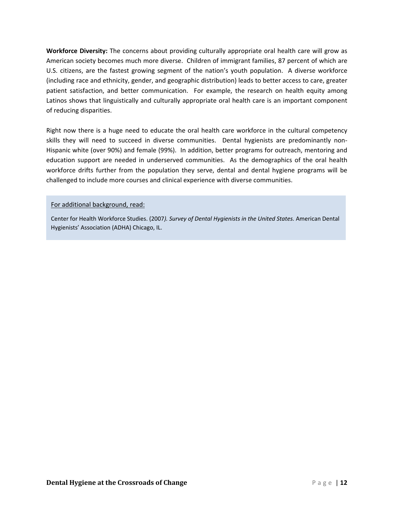**Workforce Diversity:** The concerns about providing culturally appropriate oral health care will grow as American society becomes much more diverse. Children of immigrant families, 87 percent of which are U.S. citizens, are the fastest growing segment of the nation's youth population. A diverse workforce (including race and ethnicity, gender, and geographic distribution) leads to better access to care, greater patient satisfaction, and better communication. For example, the research on health equity among Latinos shows that linguistically and culturally appropriate oral health care is an important component of reducing disparities.

Right now there is a huge need to educate the oral health care workforce in the cultural competency skills they will need to succeed in diverse communities. Dental hygienists are predominantly non-Hispanic white (over 90%) and female (99%). In addition, better programs for outreach, mentoring and education support are needed in underserved communities. As the demographics of the oral health workforce drifts further from the population they serve, dental and dental hygiene programs will be challenged to include more courses and clinical experience with diverse communities.

### For additional background, read:

Center for Health Workforce Studies. (2007*). Survey of Dental Hygienists in the United States.* American Dental Hygienists' Association (ADHA) Chicago, IL.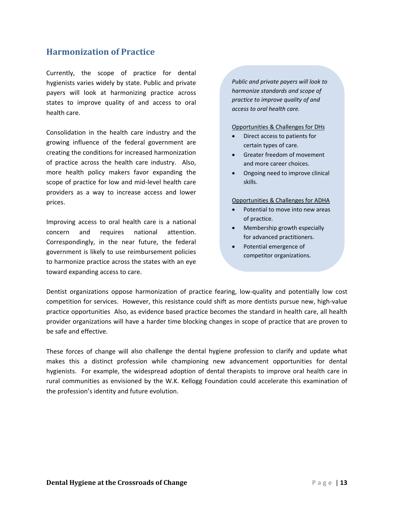## **Harmonization of Practice**

Currently, the scope of practice for dental hygienists varies widely by state. Public and private payers will look at harmonizing practice across states to improve quality of and access to oral health care.

Consolidation in the health care industry and the growing influence of the federal government are creating the conditions for increased harmonization of practice across the health care industry. Also, more health policy makers favor expanding the scope of practice for low and mid‐level health care providers as a way to increase access and lower prices.

Improving access to oral health care is a national concern and requires national attention. Correspondingly, in the near future, the federal government is likely to use reimbursement policies to harmonize practice across the states with an eye toward expanding access to care.

*Public and private payers will look to harmonize standards and scope of practice to improve quality of and access to oral health care.*

#### Opportunities & Challenges for DHs

- Direct access to patients for certain types of care.
- Greater freedom of movement and more career choices.
- Ongoing need to improve clinical skills.

#### Opportunities & Challenges for ADHA

- Potential to move into new areas of practice.
- Membership growth especially for advanced practitioners.
- Potential emergence of competitor organizations.

Dentist organizations oppose harmonization of practice fearing, low-quality and potentially low cost competition for services. However, this resistance could shift as more dentists pursue new, high‐value practice opportunities Also, as evidence based practice becomes the standard in health care, all health provider organizations will have a harder time blocking changes in scope of practice that are proven to be safe and effective.

These forces of change will also challenge the dental hygiene profession to clarify and update what makes this a distinct profession while championing new advancement opportunities for dental hygienists. For example, the widespread adoption of dental therapists to improve oral health care in rural communities as envisioned by the W.K. Kellogg Foundation could accelerate this examination of the profession's identity and future evolution.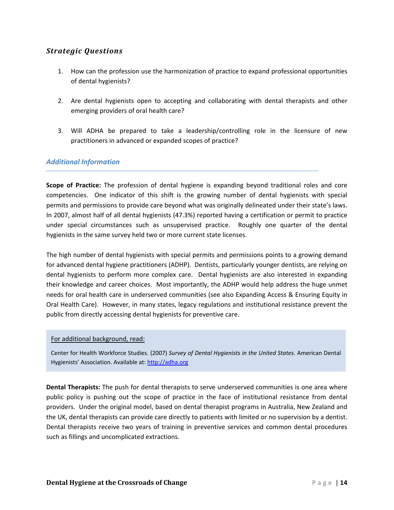- 1. How can the profession use the harmonization of practice to expand professional opportunities of dental hygienists?
- 2. Are dental hygienists open to accepting and collaborating with dental therapists and other emerging providers of oral health care?
- 3. Will ADHA be prepared to take a leadership/controlling role in the licensure of new practitioners in advanced or expanded scopes of practice?

### *Additional Information*

**Scope of Practice:** The profession of dental hygiene is expanding beyond traditional roles and core competencies. One indicator of this shift is the growing number of dental hygienists with special permits and permissions to provide care beyond what was originally delineated under their state's laws. In 2007, almost half of all dental hygienists (47.3%) reported having a certification or permit to practice under special circumstances such as unsupervised practice. Roughly one quarter of the dental hygienists in the same survey held two or more current state licenses.

The high number of dental hygienists with special permits and permissions points to a growing demand for advanced dental hygiene practitioners (ADHP). Dentists, particularly younger dentists, are relying on dental hygienists to perform more complex care. Dental hygienists are also interested in expanding their knowledge and career choices. Most importantly, the ADHP would help address the huge unmet needs for oral health care in underserved communities (see also Expanding Access & Ensuring Equity in Oral Health Care). However, in many states, legacy regulations and institutional resistance prevent the public from directly accessing dental hygienists for preventive care.

### For additional background, read:

Center for Health Workforce Studies. (2007) *Survey of Dental Hygienists in the United States.* American Dental Hygienists' Association. Available at: http://adha.org

**Dental Therapists:** The push for dental therapists to serve underserved communities is one area where public policy is pushing out the scope of practice in the face of institutional resistance from dental providers. Under the original model, based on dental therapist programs in Australia, New Zealand and the UK, dental therapists can provide care directly to patients with limited or no supervision by a dentist. Dental therapists receive two years of training in preventive services and common dental procedures such as fillings and uncomplicated extractions.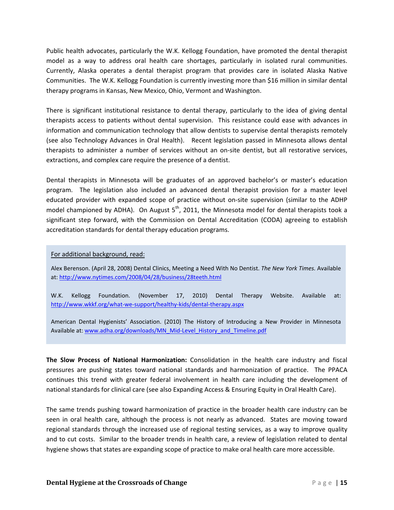Public health advocates, particularly the W.K. Kellogg Foundation, have promoted the dental therapist model as a way to address oral health care shortages, particularly in isolated rural communities. Currently, Alaska operates a dental therapist program that provides care in isolated Alaska Native Communities. The W.K. Kellogg Foundation is currently investing more than \$16 million in similar dental therapy programs in Kansas, New Mexico, Ohio, Vermont and Washington.

There is significant institutional resistance to dental therapy, particularly to the idea of giving dental therapists access to patients without dental supervision. This resistance could ease with advances in information and communication technology that allow dentists to supervise dental therapists remotely (see also Technology Advances in Oral Health). Recent legislation passed in Minnesota allows dental therapists to administer a number of services without an on‐site dentist, but all restorative services, extractions, and complex care require the presence of a dentist.

Dental therapists in Minnesota will be graduates of an approved bachelor's or master's education program. The legislation also included an advanced dental therapist provision for a master level educated provider with expanded scope of practice without on‐site supervision (similar to the ADHP model championed by ADHA). On August  $5<sup>th</sup>$ , 2011, the Minnesota model for dental therapists took a significant step forward, with the Commission on Dental Accreditation (CODA) agreeing to establish accreditation standards for dental therapy education programs.

### For additional background, read:

Alex Berenson. (April 28, 2008) Dental Clinics, Meeting a Need With No Dentist. *The New York Times.* Available at: http://www.nytimes.com/2008/04/28/business/28teeth.html

W.K. Kellogg Foundation. (November 17, 2010) Dental Therapy Website. Available at: http://www.wkkf.org/what‐we‐support/healthy‐kids/dental‐therapy.aspx

American Dental Hygienists' Association. (2010) The History of Introducing a New Provider in Minnesota Available at: www.adha.org/downloads/MN\_Mid-Level\_History\_and\_Timeline.pdf

**The Slow Process of National Harmonization:** Consolidation in the health care industry and fiscal pressures are pushing states toward national standards and harmonization of practice. The PPACA continues this trend with greater federal involvement in health care including the development of national standards for clinical care (see also Expanding Access & Ensuring Equity in Oral Health Care).

The same trends pushing toward harmonization of practice in the broader health care industry can be seen in oral health care, although the process is not nearly as advanced. States are moving toward regional standards through the increased use of regional testing services, as a way to improve quality and to cut costs. Similar to the broader trends in health care, a review of legislation related to dental hygiene shows that states are expanding scope of practice to make oral health care more accessible.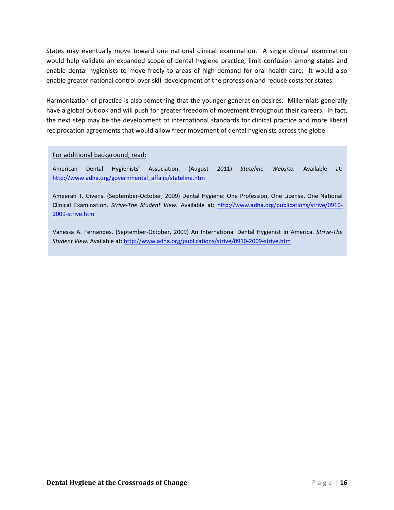States may eventually move toward one national clinical examination. A single clinical examination would help validate an expanded scope of dental hygiene practice, limit confusion among states and enable dental hygienists to move freely to areas of high demand for oral health care. It would also enable greater national control over skill development of the profession and reduce costs for states.

Harmonization of practice is also something that the younger generation desires. Millennials generally have a global outlook and will push for greater freedom of movement throughout their careers. In fact, the next step may be the development of international standards for clinical practice and more liberal reciprocation agreements that would allow freer movement of dental hygienists across the globe.

For additional background, read:

American Dental Hygienists' Association. (August 2011) *Stateline Website.* Available at: http://www.adha.org/governmental\_affairs/stateline.htm

Ameerah T. Givens. (September‐October, 2009) Dental Hygiene: One Profession, One License, One National Clinical Examination. *Strive‐The Student View.* Available at: http://www.adha.org/publications/strive/0910‐ 2009‐strive.htm

Vanessa A. Fernandes. (September‐October, 2009) An International Dental Hygienist in America. *Strive‐The Student View.* Available at: http://www.adha.org/publications/strive/0910‐2009‐strive.htm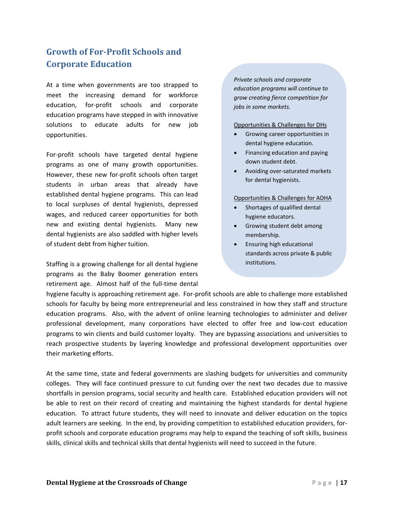## **Growth of ForProfit Schools and Corporate Education**

At a time when governments are too strapped to meet the increasing demand for workforce education, for‐profit schools and corporate education programs have stepped in with innovative solutions to educate adults for new job opportunities.

For‐profit schools have targeted dental hygiene programs as one of many growth opportunities. However, these new for‐profit schools often target students in urban areas that already have established dental hygiene programs. This can lead to local surpluses of dental hygienists, depressed wages, and reduced career opportunities for both new and existing dental hygienists. Many new dental hygienists are also saddled with higher levels of student debt from higher tuition.

Staffing is a growing challenge for all dental hygiene programs as the Baby Boomer generation enters retirement age. Almost half of the full-time dental

*Private schools and corporate education programs will continue to grow creating fierce competition for jobs in some markets.*

Opportunities & Challenges for DHs

- Growing career opportunities in dental hygiene education.
- Financing education and paying down student debt.
- Avoiding over‐saturated markets for dental hygienists.

### Opportunities & Challenges for ADHA

- Shortages of qualified dental hygiene educators.
- Growing student debt among membership.
- Ensuring high educational standards across private & public institutions.

hygiene faculty is approaching retirement age. For-profit schools are able to challenge more established schools for faculty by being more entrepreneurial and less constrained in how they staff and structure education programs. Also, with the advent of online learning technologies to administer and deliver professional development, many corporations have elected to offer free and low‐cost education programs to win clients and build customer loyalty. They are bypassing associations and universities to reach prospective students by layering knowledge and professional development opportunities over their marketing efforts.

At the same time, state and federal governments are slashing budgets for universities and community colleges. They will face continued pressure to cut funding over the next two decades due to massive shortfalls in pension programs, social security and health care. Established education providers will not be able to rest on their record of creating and maintaining the highest standards for dental hygiene education. To attract future students, they will need to innovate and deliver education on the topics adult learners are seeking. In the end, by providing competition to established education providers, for‐ profit schools and corporate education programs may help to expand the teaching of soft skills, business skills, clinical skills and technical skills that dental hygienists will need to succeed in the future.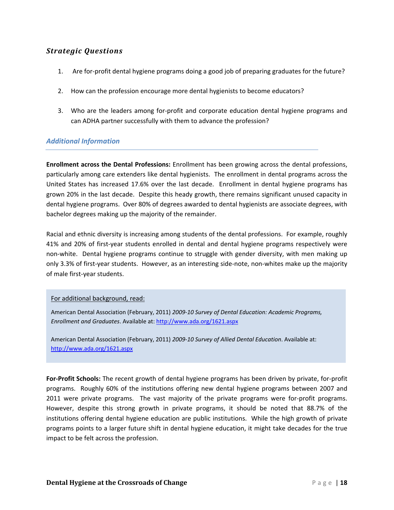- 1. Are for‐profit dental hygiene programs doing a good job of preparing graduates for the future?
- 2. How can the profession encourage more dental hygienists to become educators?
- 3. Who are the leaders among for‐profit and corporate education dental hygiene programs and can ADHA partner successfully with them to advance the profession?

### *Additional Information*

**Enrollment across the Dental Professions:** Enrollment has been growing across the dental professions, particularly among care extenders like dental hygienists. The enrollment in dental programs across the United States has increased 17.6% over the last decade. Enrollment in dental hygiene programs has grown 20% in the last decade. Despite this heady growth, there remains significant unused capacity in dental hygiene programs. Over 80% of degrees awarded to dental hygienists are associate degrees, with bachelor degrees making up the majority of the remainder.

Racial and ethnic diversity is increasing among students of the dental professions. For example, roughly 41% and 20% of first-year students enrolled in dental and dental hygiene programs respectively were non-white. Dental hygiene programs continue to struggle with gender diversity, with men making up only 3.3% of first-year students. However, as an interesting side-note, non-whites make up the majority of male first‐year students.

### For additional background, read:

American Dental Association (February, 2011) *2009‐10 Survey of Dental Education: Academic Programs, Enrollment and Graduates*. Available at: http://www.ada.org/1621.aspx

American Dental Association (February, 2011) *2009‐10 Survey of Allied Dental Education*. Available at: http://www.ada.org/1621.aspx

**For‐Profit Schools:** The recent growth of dental hygiene programs has been driven by private, for‐profit programs. Roughly 60% of the institutions offering new dental hygiene programs between 2007 and 2011 were private programs. The vast majority of the private programs were for-profit programs. However, despite this strong growth in private programs, it should be noted that 88.7% of the institutions offering dental hygiene education are public institutions. While the high growth of private programs points to a larger future shift in dental hygiene education, it might take decades for the true impact to be felt across the profession.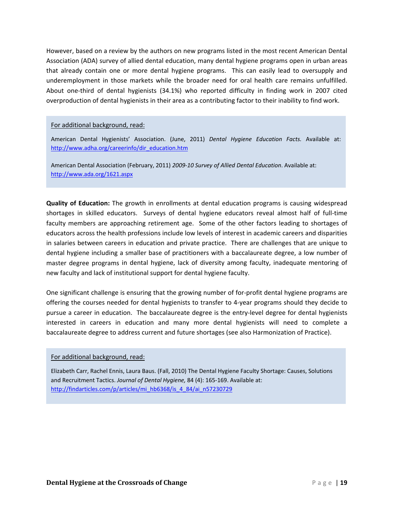However, based on a review by the authors on new programs listed in the most recent American Dental Association (ADA) survey of allied dental education, many dental hygiene programs open in urban areas that already contain one or more dental hygiene programs. This can easily lead to oversupply and underemployment in those markets while the broader need for oral health care remains unfulfilled. About one‐third of dental hygienists (34.1%) who reported difficulty in finding work in 2007 cited overproduction of dental hygienists in their area as a contributing factor to their inability to find work.

### For additional background, read:

American Dental Hygienists' Association. (June, 2011) *Dental Hygiene Education Facts.* Available at: http://www.adha.org/careerinfo/dir\_education.htm

American Dental Association (February, 2011) *2009‐10 Survey of Allied Dental Education*. Available at: http://www.ada.org/1621.aspx

**Quality of Education:** The growth in enrollments at dental education programs is causing widespread shortages in skilled educators. Surveys of dental hygiene educators reveal almost half of full-time faculty members are approaching retirement age. Some of the other factors leading to shortages of educators across the health professions include low levels of interest in academic careers and disparities in salaries between careers in education and private practice. There are challenges that are unique to dental hygiene including a smaller base of practitioners with a baccalaureate degree, a low number of master degree programs in dental hygiene, lack of diversity among faculty, inadequate mentoring of new faculty and lack of institutional support for dental hygiene faculty.

One significant challenge is ensuring that the growing number of for‐profit dental hygiene programs are offering the courses needed for dental hygienists to transfer to 4‐year programs should they decide to pursue a career in education. The baccalaureate degree is the entry‐level degree for dental hygienists interested in careers in education and many more dental hygienists will need to complete a baccalaureate degree to address current and future shortages (see also Harmonization of Practice).

### For additional background, read:

Elizabeth Carr, Rachel Ennis, Laura Baus. (Fall, 2010) The Dental Hygiene Faculty Shortage: Causes, Solutions and Recruitment Tactics. *Journal of Dental Hygiene,* 84 (4): 165‐169. Available at: http://findarticles.com/p/articles/mi\_hb6368/is\_4\_84/ai\_n57230729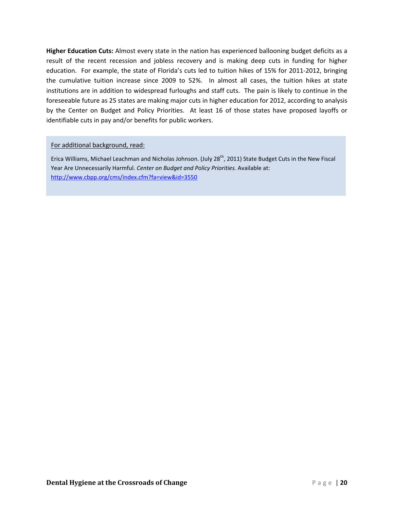**Higher Education Cuts:** Almost every state in the nation has experienced ballooning budget deficits as a result of the recent recession and jobless recovery and is making deep cuts in funding for higher education. For example, the state of Florida's cuts led to tuition hikes of 15% for 2011-2012, bringing the cumulative tuition increase since 2009 to 52%. In almost all cases, the tuition hikes at state institutions are in addition to widespread furloughs and staff cuts. The pain is likely to continue in the foreseeable future as 25 states are making major cuts in higher education for 2012, according to analysis by the Center on Budget and Policy Priorities. At least 16 of those states have proposed layoffs or identifiable cuts in pay and/or benefits for public workers.

### For additional background, read:

Erica Williams, Michael Leachman and Nicholas Johnson. (July 28<sup>th</sup>, 2011) State Budget Cuts in the New Fiscal Year Are Unnecessarily Harmful. *Center on Budget and Policy Priorities.* Available at: http://www.cbpp.org/cms/index.cfm?fa=view&id=3550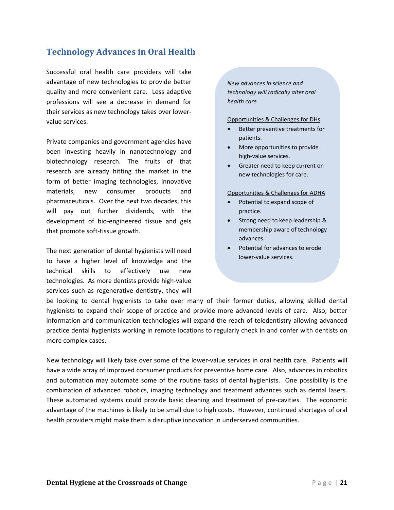## **Technology Advances in Oral Health**

Successful oral health care providers will take advantage of new technologies to provide better quality and more convenient care. Less adaptive professions will see a decrease in demand for their services as new technology takes over lower‐ value services.

Private companies and government agencies have been investing heavily in nanotechnology and biotechnology research. The fruits of that research are already hitting the market in the form of better imaging technologies, innovative materials, new consumer products and pharmaceuticals. Over the next two decades, this will pay out further dividends, with the development of bio‐engineered tissue and gels that promote soft‐tissue growth.

The next generation of dental hygienists will need to have a higher level of knowledge and the technical skills to effectively use new technologies. As more dentists provide high‐value services such as regenerative dentistry, they will *New advances in science and technology will radically alter oral health care*

#### Opportunities & Challenges for DHs

- Better preventive treatments for patients.
- More opportunities to provide high‐value services.
- Greater need to keep current on new technologies for care.

#### Opportunities & Challenges for ADHA

- Potential to expand scope of practice.
- Strong need to keep leadership & membership aware of technology advances.
- Potential for advances to erode lower‐value services.

be looking to dental hygienists to take over many of their former duties, allowing skilled dental hygienists to expand their scope of practice and provide more advanced levels of care. Also, better information and communication technologies will expand the reach of teledentistry allowing advanced practice dental hygienists working in remote locations to regularly check in and confer with dentists on more complex cases.

New technology will likely take over some of the lower-value services in oral health care. Patients will have a wide array of improved consumer products for preventive home care. Also, advances in robotics and automation may automate some of the routine tasks of dental hygienists. One possibility is the combination of advanced robotics, imaging technology and treatment advances such as dental lasers. These automated systems could provide basic cleaning and treatment of pre-cavities. The economic advantage of the machines is likely to be small due to high costs. However, continued shortages of oral health providers might make them a disruptive innovation in underserved communities.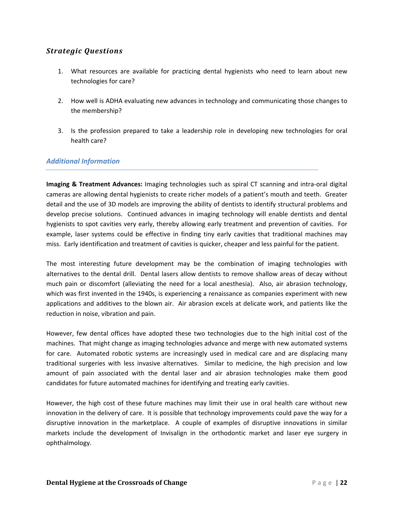- 1. What resources are available for practicing dental hygienists who need to learn about new technologies for care?
- 2. How well is ADHA evaluating new advances in technology and communicating those changes to the membership?
- 3. Is the profession prepared to take a leadership role in developing new technologies for oral health care?

## *Additional Information*

**Imaging & Treatment Advances:** Imaging technologies such as spiral CT scanning and intra‐oral digital cameras are allowing dental hygienists to create richer models of a patient's mouth and teeth. Greater detail and the use of 3D models are improving the ability of dentists to identify structural problems and develop precise solutions. Continued advances in imaging technology will enable dentists and dental hygienists to spot cavities very early, thereby allowing early treatment and prevention of cavities. For example, laser systems could be effective in finding tiny early cavities that traditional machines may miss. Early identification and treatment of cavities is quicker, cheaper and less painful for the patient.

The most interesting future development may be the combination of imaging technologies with alternatives to the dental drill. Dental lasers allow dentists to remove shallow areas of decay without much pain or discomfort (alleviating the need for a local anesthesia). Also, air abrasion technology, which was first invented in the 1940s, is experiencing a renaissance as companies experiment with new applications and additives to the blown air. Air abrasion excels at delicate work, and patients like the reduction in noise, vibration and pain.

However, few dental offices have adopted these two technologies due to the high initial cost of the machines. That might change as imaging technologies advance and merge with new automated systems for care. Automated robotic systems are increasingly used in medical care and are displacing many traditional surgeries with less invasive alternatives. Similar to medicine, the high precision and low amount of pain associated with the dental laser and air abrasion technologies make them good candidates for future automated machines for identifying and treating early cavities.

However, the high cost of these future machines may limit their use in oral health care without new innovation in the delivery of care. It is possible that technology improvements could pave the way for a disruptive innovation in the marketplace. A couple of examples of disruptive innovations in similar markets include the development of Invisalign in the orthodontic market and laser eye surgery in ophthalmology.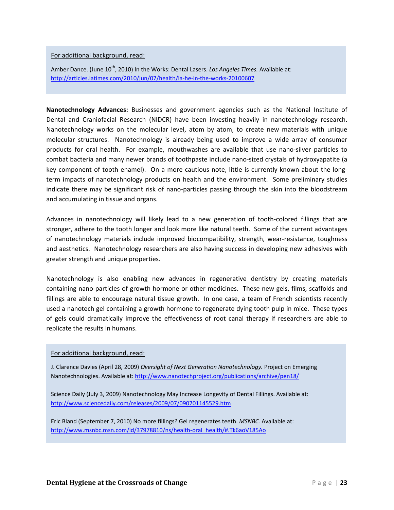### For additional background, read:

Amber Dance. (June 10<sup>th</sup>, 2010) In the Works: Dental Lasers. *Los Angeles Times.* Available at: http://articles.latimes.com/2010/jun/07/health/la‐he‐in‐the‐works‐20100607

**Nanotechnology Advances:** Businesses and government agencies such as the National Institute of Dental and Craniofacial Research (NIDCR) have been investing heavily in nanotechnology research. Nanotechnology works on the molecular level, atom by atom, to create new materials with unique molecular structures. Nanotechnology is already being used to improve a wide array of consumer products for oral health. For example, mouthwashes are available that use nano‐silver particles to combat bacteria and many newer brands of toothpaste include nano‐sized crystals of hydroxyapatite (a key component of tooth enamel). On a more cautious note, little is currently known about the longterm impacts of nanotechnology products on health and the environment. Some preliminary studies indicate there may be significant risk of nano-particles passing through the skin into the bloodstream and accumulating in tissue and organs.

Advances in nanotechnology will likely lead to a new generation of tooth‐colored fillings that are stronger, adhere to the tooth longer and look more like natural teeth. Some of the current advantages of nanotechnology materials include improved biocompatibility, strength, wear-resistance, toughness and aesthetics. Nanotechnology researchers are also having success in developing new adhesives with greater strength and unique properties.

Nanotechnology is also enabling new advances in regenerative dentistry by creating materials containing nano‐particles of growth hormone or other medicines. These new gels, films, scaffolds and fillings are able to encourage natural tissue growth. In one case, a team of French scientists recently used a nanotech gel containing a growth hormone to regenerate dying tooth pulp in mice. These types of gels could dramatically improve the effectiveness of root canal therapy if researchers are able to replicate the results in humans.

### For additional background, read:

J. Clarence Davies (April 28, 2009) *Oversight of Next Generation Nanotechnology.* Project on Emerging Nanotechnologies. Available at: http://www.nanotechproject.org/publications/archive/pen18/

Science Daily (July 3, 2009) Nanotechnology May Increase Longevity of Dental Fillings. Available at: http://www.sciencedaily.com/releases/2009/07/090701145529.htm

Eric Bland (September 7, 2010) No more fillings? Gel regenerates teeth. *MSNBC.* Available at: http://www.msnbc.msn.com/id/37978810/ns/health‐oral\_health/#.Tk6aoV185Ao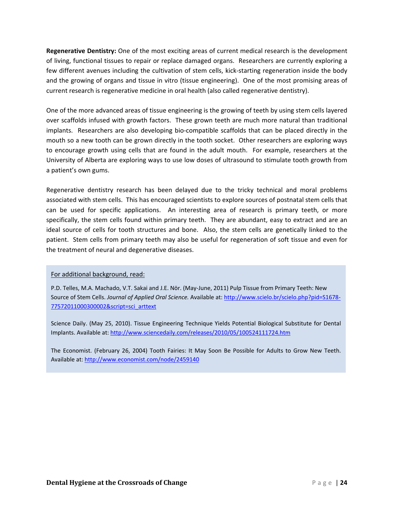**Regenerative Dentistry:** One of the most exciting areas of current medical research is the development of living, functional tissues to repair or replace damaged organs. Researchers are currently exploring a few different avenues including the cultivation of stem cells, kick-starting regeneration inside the body and the growing of organs and tissue in vitro (tissue engineering). One of the most promising areas of current research is regenerative medicine in oral health (also called regenerative dentistry).

One of the more advanced areas of tissue engineering is the growing of teeth by using stem cells layered over scaffolds infused with growth factors. These grown teeth are much more natural than traditional implants. Researchers are also developing bio‐compatible scaffolds that can be placed directly in the mouth so a new tooth can be grown directly in the tooth socket. Other researchers are exploring ways to encourage growth using cells that are found in the adult mouth. For example, researchers at the University of Alberta are exploring ways to use low doses of ultrasound to stimulate tooth growth from a patient's own gums.

Regenerative dentistry research has been delayed due to the tricky technical and moral problems associated with stem cells. This has encouraged scientists to explore sources of postnatal stem cells that can be used for specific applications. An interesting area of research is primary teeth, or more specifically, the stem cells found within primary teeth. They are abundant, easy to extract and are an ideal source of cells for tooth structures and bone. Also, the stem cells are genetically linked to the patient. Stem cells from primary teeth may also be useful for regeneration of soft tissue and even for the treatment of neural and degenerative diseases.

### For additional background, read:

P.D. Telles, M.A. Machado, V.T. Sakai and J.E. Nör. (May‐June, 2011) Pulp Tissue from Primary Teeth: New Source of Stem Cells. *Journal of Applied Oral Science.* Available at: http://www.scielo.br/scielo.php?pid=S1678‐ 77572011000300002&script=sci\_arttext

Science Daily. (May 25, 2010). Tissue Engineering Technique Yields Potential Biological Substitute for Dental Implants. Available at: http://www.sciencedaily.com/releases/2010/05/100524111724.htm

The Economist. (February 26, 2004) Tooth Fairies: It May Soon Be Possible for Adults to Grow New Teeth. Available at: http://www.economist.com/node/2459140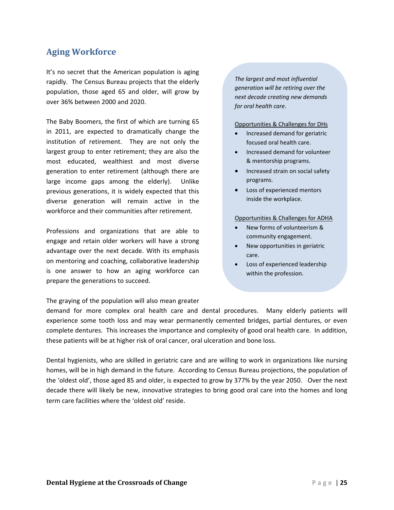## **Aging Workforce**

It's no secret that the American population is aging rapidly. The Census Bureau projects that the elderly population, those aged 65 and older, will grow by over 36% between 2000 and 2020.

The Baby Boomers, the first of which are turning 65 in 2011, are expected to dramatically change the institution of retirement. They are not only the largest group to enter retirement; they are also the most educated, wealthiest and most diverse generation to enter retirement (although there are large income gaps among the elderly). Unlike previous generations, it is widely expected that this diverse generation will remain active in the workforce and their communities after retirement.

Professions and organizations that are able to engage and retain older workers will have a strong advantage over the next decade. With its emphasis on mentoring and coaching, collaborative leadership is one answer to how an aging workforce can prepare the generations to succeed.

The graying of the population will also mean greater

*The largest and most influential generation will be retiring over the next decade creating new demands for oral health care.*

#### Opportunities & Challenges for DHs

- Increased demand for geriatric focused oral health care.
- Increased demand for volunteer & mentorship programs.
- Increased strain on social safety programs.
- Loss of experienced mentors inside the workplace.

### Opportunities & Challenges for ADHA

- New forms of volunteerism & community engagement.
- New opportunities in geriatric care.
- Loss of experienced leadership within the profession.

demand for more complex oral health care and dental procedures. Many elderly patients will experience some tooth loss and may wear permanently cemented bridges, partial dentures, or even complete dentures. This increases the importance and complexity of good oral health care. In addition, these patients will be at higher risk of oral cancer, oral ulceration and bone loss.

Dental hygienists, who are skilled in geriatric care and are willing to work in organizations like nursing homes, will be in high demand in the future. According to Census Bureau projections, the population of the 'oldest old', those aged 85 and older, is expected to grow by 377% by the year 2050. Over the next decade there will likely be new, innovative strategies to bring good oral care into the homes and long term care facilities where the 'oldest old' reside.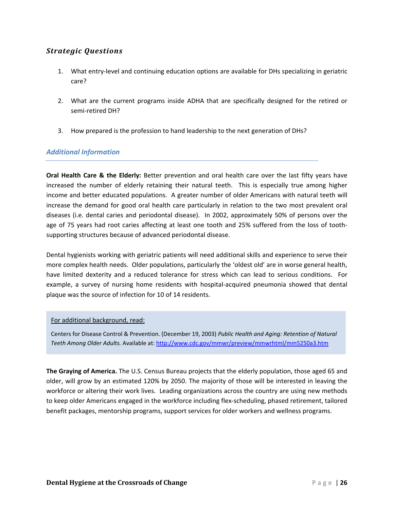- 1. What entry-level and continuing education options are available for DHs specializing in geriatric care?
- 2. What are the current programs inside ADHA that are specifically designed for the retired or semi‐retired DH?
- 3. How prepared is the profession to hand leadership to the next generation of DHs?

### *Additional Information*

**Oral Health Care & the Elderly:** Better prevention and oral health care over the last fifty years have increased the number of elderly retaining their natural teeth. This is especially true among higher income and better educated populations. A greater number of older Americans with natural teeth will increase the demand for good oral health care particularly in relation to the two most prevalent oral diseases (i.e. dental caries and periodontal disease). In 2002, approximately 50% of persons over the age of 75 years had root caries affecting at least one tooth and 25% suffered from the loss of tooth‐ supporting structures because of advanced periodontal disease.

Dental hygienists working with geriatric patients will need additional skills and experience to serve their more complex health needs. Older populations, particularly the 'oldest old' are in worse general health, have limited dexterity and a reduced tolerance for stress which can lead to serious conditions. For example, a survey of nursing home residents with hospital‐acquired pneumonia showed that dental plaque was the source of infection for 10 of 14 residents.

### For additional background, read:

Centers for Disease Control & Prevention. (December 19, 2003) *Public Health and Aging: Retention of Natural Teeth Among Older Adults.* Available at: http://www.cdc.gov/mmwr/preview/mmwrhtml/mm5250a3.htm

**The Graying of America.** The U.S. Census Bureau projects that the elderly population, those aged 65 and older, will grow by an estimated 120% by 2050. The majority of those will be interested in leaving the workforce or altering their work lives. Leading organizations across the country are using new methods to keep older Americans engaged in the workforce including flex‐scheduling, phased retirement, tailored benefit packages, mentorship programs, support services for older workers and wellness programs.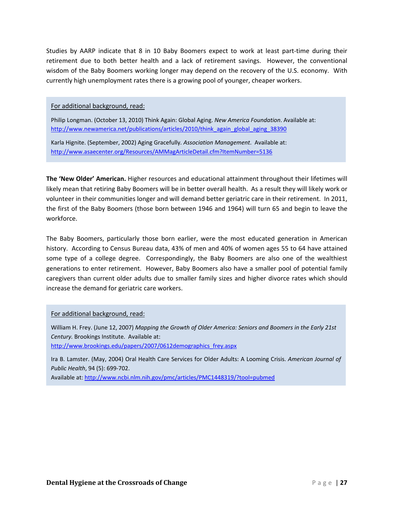Studies by AARP indicate that 8 in 10 Baby Boomers expect to work at least part‐time during their retirement due to both better health and a lack of retirement savings. However, the conventional wisdom of the Baby Boomers working longer may depend on the recovery of the U.S. economy. With currently high unemployment rates there is a growing pool of younger, cheaper workers.

For additional background, read:

Philip Longman. (October 13, 2010) Think Again: Global Aging. *New America Foundation*. Available at: http://www.newamerica.net/publications/articles/2010/think\_again\_global\_aging\_38390

Karla Hignite. (September, 2002) Aging Gracefully*. Association Management*. Available at: http://www.asaecenter.org/Resources/AMMagArticleDetail.cfm?ItemNumber=5136

**The 'New Older' American.** Higher resources and educational attainment throughout their lifetimes will likely mean that retiring Baby Boomers will be in better overall health. As a result they will likely work or volunteer in their communities longer and will demand better geriatric care in their retirement. In 2011, the first of the Baby Boomers (those born between 1946 and 1964) will turn 65 and begin to leave the workforce.

The Baby Boomers, particularly those born earlier, were the most educated generation in American history. According to Census Bureau data, 43% of men and 40% of women ages 55 to 64 have attained some type of a college degree. Correspondingly, the Baby Boomers are also one of the wealthiest generations to enter retirement. However, Baby Boomers also have a smaller pool of potential family caregivers than current older adults due to smaller family sizes and higher divorce rates which should increase the demand for geriatric care workers.

### For additional background, read:

William H. Frey. (June 12, 2007) *Mapping the Growth of Older America: Seniors and Boomers in the Early 21st Century.* Brookings Institute. Available at: http://www.brookings.edu/papers/2007/0612demographics\_frey.aspx

Ira B. Lamster. (May, 2004) Oral Health Care Services for Older Adults: A Looming Crisis. *American Journal of Public Health*, 94 (5): 699‐702.

Available at: http://www.ncbi.nlm.nih.gov/pmc/articles/PMC1448319/?tool=pubmed